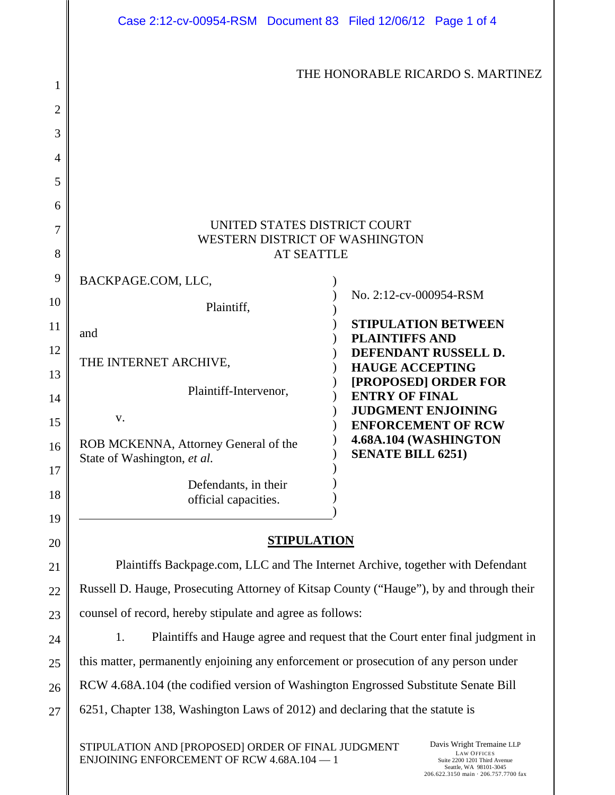|                | Case 2:12-cv-00954-RSM  Document 83  Filed 12/06/12  Page 1 of 4                        |                                                     |  |  |
|----------------|-----------------------------------------------------------------------------------------|-----------------------------------------------------|--|--|
| 1              | THE HONORABLE RICARDO S. MARTINEZ                                                       |                                                     |  |  |
| $\overline{2}$ |                                                                                         |                                                     |  |  |
| 3              |                                                                                         |                                                     |  |  |
| 4              |                                                                                         |                                                     |  |  |
| 5              |                                                                                         |                                                     |  |  |
| 6              |                                                                                         |                                                     |  |  |
| 7              | UNITED STATES DISTRICT COURT<br>WESTERN DISTRICT OF WASHINGTON                          |                                                     |  |  |
| 8              | <b>AT SEATTLE</b>                                                                       |                                                     |  |  |
| 9              | BACKPAGE.COM, LLC,                                                                      |                                                     |  |  |
| 10             | Plaintiff,                                                                              | No. 2:12-cv-000954-RSM                              |  |  |
| 11             | and                                                                                     | <b>STIPULATION BETWEEN</b><br><b>PLAINTIFFS AND</b> |  |  |
| 12             | THE INTERNET ARCHIVE,                                                                   | DEFENDANT RUSSELL D.                                |  |  |
| 13             |                                                                                         | <b>HAUGE ACCEPTING</b><br>[PROPOSED] ORDER FOR      |  |  |
| 14             | Plaintiff-Intervenor,                                                                   | <b>ENTRY OF FINAL</b><br><b>JUDGMENT ENJOINING</b>  |  |  |
| 15             | V.                                                                                      | <b>ENFORCEMENT OF RCW</b>                           |  |  |
| 16<br>17       | ROB MCKENNA, Attorney General of the<br>State of Washington, et al.                     | 4.68A.104 (WASHINGTON<br><b>SENATE BILL 6251)</b>   |  |  |
| 18             | Defendants, in their                                                                    |                                                     |  |  |
| 19             | official capacities.                                                                    |                                                     |  |  |
| 20             | <b>STIPULATION</b>                                                                      |                                                     |  |  |
| 21             | Plaintiffs Backpage.com, LLC and The Internet Archive, together with Defendant          |                                                     |  |  |
| 22             | Russell D. Hauge, Prosecuting Attorney of Kitsap County ("Hauge"), by and through their |                                                     |  |  |
| 23             | counsel of record, hereby stipulate and agree as follows:                               |                                                     |  |  |
| 24             | Plaintiffs and Hauge agree and request that the Court enter final judgment in<br>1.     |                                                     |  |  |
| 25             | this matter, permanently enjoining any enforcement or prosecution of any person under   |                                                     |  |  |
| 26             | RCW 4.68A.104 (the codified version of Washington Engrossed Substitute Senate Bill      |                                                     |  |  |
| 27             | 6251, Chapter 138, Washington Laws of 2012) and declaring that the statute is           |                                                     |  |  |
|                | Davis Wright Tremaine LLP<br>STIPULATION AND [PROPOSED] ORDER OF FINAL JUDGMENT         |                                                     |  |  |

ENJOINING ENFORCEMENT OF RCW 4.68A.104 — 1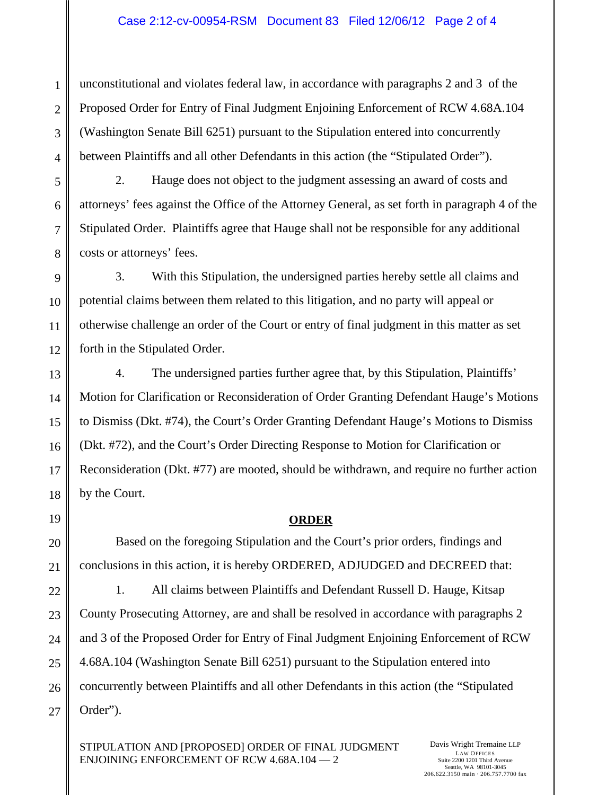unconstitutional and violates federal law, in accordance with paragraphs 2 and 3 of the Proposed Order for Entry of Final Judgment Enjoining Enforcement of RCW 4.68A.104 (Washington Senate Bill 6251) pursuant to the Stipulation entered into concurrently between Plaintiffs and all other Defendants in this action (the "Stipulated Order").

2. Hauge does not object to the judgment assessing an award of costs and attorneys' fees against the Office of the Attorney General, as set forth in paragraph 4 of the Stipulated Order. Plaintiffs agree that Hauge shall not be responsible for any additional costs or attorneys' fees.

3. With this Stipulation, the undersigned parties hereby settle all claims and potential claims between them related to this litigation, and no party will appeal or otherwise challenge an order of the Court or entry of final judgment in this matter as set forth in the Stipulated Order.

4. The undersigned parties further agree that, by this Stipulation, Plaintiffs' Motion for Clarification or Reconsideration of Order Granting Defendant Hauge's Motions to Dismiss (Dkt. #74), the Court's Order Granting Defendant Hauge's Motions to Dismiss (Dkt. #72), and the Court's Order Directing Response to Motion for Clarification or Reconsideration (Dkt. #77) are mooted, should be withdrawn, and require no further action by the Court.

## **ORDER**

Based on the foregoing Stipulation and the Court's prior orders, findings and conclusions in this action, it is hereby ORDERED, ADJUDGED and DECREED that:

1. All claims between Plaintiffs and Defendant Russell D. Hauge, Kitsap County Prosecuting Attorney, are and shall be resolved in accordance with paragraphs 2 and 3 of the Proposed Order for Entry of Final Judgment Enjoining Enforcement of RCW 4.68A.104 (Washington Senate Bill 6251) pursuant to the Stipulation entered into concurrently between Plaintiffs and all other Defendants in this action (the "Stipulated Order").

STIPULATION AND [PROPOSED] ORDER OF FINAL JUDGMENT ENJOINING ENFORCEMENT OF RCW 4.68A.104 — 2

1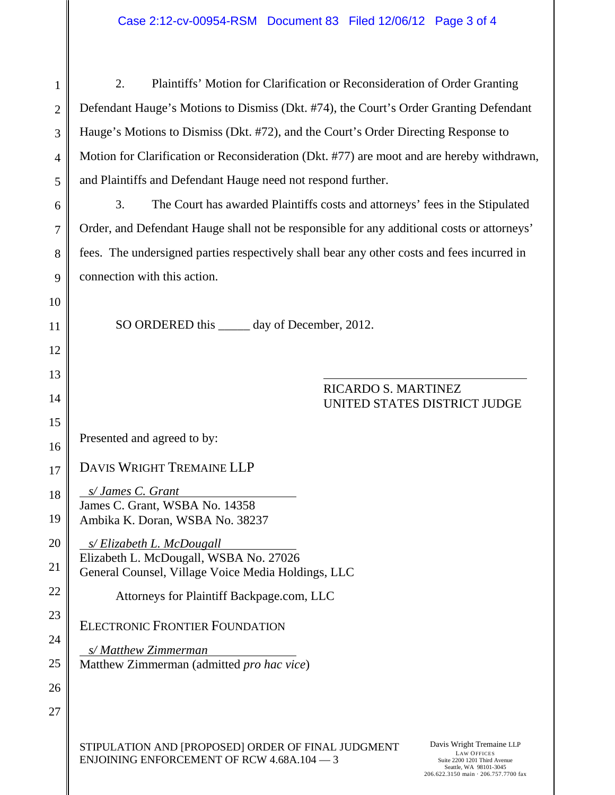| $\mathbf{1}$   | 2.<br>Plaintiffs' Motion for Clarification or Reconsideration of Order Granting                                                                                                                                                                              |  |  |
|----------------|--------------------------------------------------------------------------------------------------------------------------------------------------------------------------------------------------------------------------------------------------------------|--|--|
| $\overline{2}$ | Defendant Hauge's Motions to Dismiss (Dkt. #74), the Court's Order Granting Defendant                                                                                                                                                                        |  |  |
| 3              | Hauge's Motions to Dismiss (Dkt. #72), and the Court's Order Directing Response to                                                                                                                                                                           |  |  |
| 4              | Motion for Clarification or Reconsideration (Dkt. #77) are moot and are hereby withdrawn,                                                                                                                                                                    |  |  |
| 5              | and Plaintiffs and Defendant Hauge need not respond further.                                                                                                                                                                                                 |  |  |
| 6              | 3.<br>The Court has awarded Plaintiffs costs and attorneys' fees in the Stipulated                                                                                                                                                                           |  |  |
| 7              | Order, and Defendant Hauge shall not be responsible for any additional costs or attorneys'                                                                                                                                                                   |  |  |
| 8              | fees. The undersigned parties respectively shall bear any other costs and fees incurred in                                                                                                                                                                   |  |  |
| 9              | connection with this action.                                                                                                                                                                                                                                 |  |  |
| 10             |                                                                                                                                                                                                                                                              |  |  |
| 11             | SO ORDERED this ______ day of December, 2012.                                                                                                                                                                                                                |  |  |
| 12             |                                                                                                                                                                                                                                                              |  |  |
| 13             |                                                                                                                                                                                                                                                              |  |  |
| 14             | RICARDO S. MARTINEZ<br>UNITED STATES DISTRICT JUDGE                                                                                                                                                                                                          |  |  |
| 15             |                                                                                                                                                                                                                                                              |  |  |
| 16             | Presented and agreed to by:                                                                                                                                                                                                                                  |  |  |
| 17             | DAVIS WRIGHT TREMAINE LLP                                                                                                                                                                                                                                    |  |  |
| 18             | s/ James C. Grant<br>James C. Grant, WSBA No. 14358                                                                                                                                                                                                          |  |  |
| 19             | Ambika K. Doran, WSBA No. 38237                                                                                                                                                                                                                              |  |  |
| 20             | s/Elizabeth L. McDougall                                                                                                                                                                                                                                     |  |  |
| 21             | Elizabeth L. McDougall, WSBA No. 27026<br>General Counsel, Village Voice Media Holdings, LLC                                                                                                                                                                 |  |  |
| 22             | Attorneys for Plaintiff Backpage.com, LLC                                                                                                                                                                                                                    |  |  |
| 23             | <b>ELECTRONIC FRONTIER FOUNDATION</b>                                                                                                                                                                                                                        |  |  |
| 24             | s/Matthew Zimmerman                                                                                                                                                                                                                                          |  |  |
| 25             | Matthew Zimmerman (admitted pro hac vice)                                                                                                                                                                                                                    |  |  |
| 26             |                                                                                                                                                                                                                                                              |  |  |
| 27             |                                                                                                                                                                                                                                                              |  |  |
|                | Davis Wright Tremaine LLP<br>STIPULATION AND [PROPOSED] ORDER OF FINAL JUDGMENT<br><b>LAW OFFICES</b><br><b>ENJOINING ENFORCEMENT OF RCW 4.68A.104 - 3</b><br>Suite 2200 1201 Third Avenue<br>Seattle, WA 98101-3045<br>206.622.3150 main · 206.757.7700 fax |  |  |